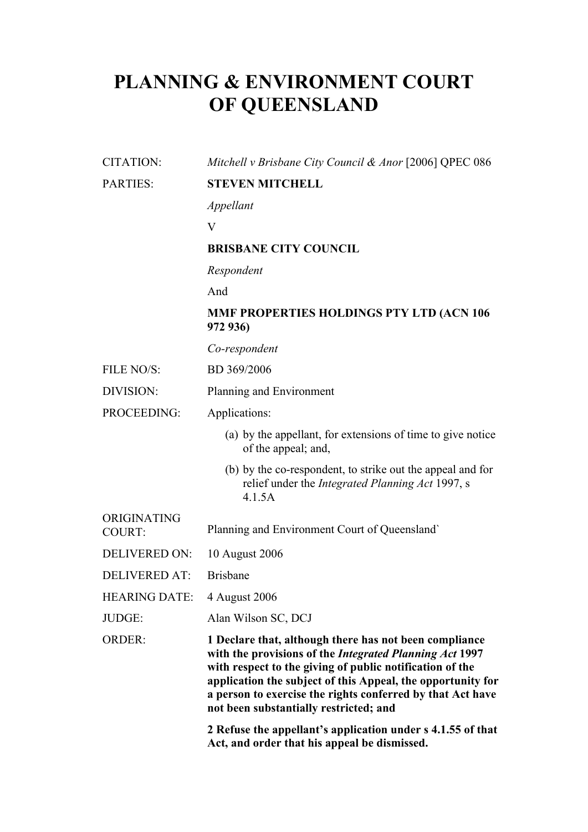# **PLANNING & ENVIRONMENT COURT OF QUEENSLAND**

## CITATION: *Mitchell v Brisbane City Council & Anor* [2006] QPEC 086

## PARTIES: **STEVEN MITCHELL**

*Appellant*

V

## **BRISBANE CITY COUNCIL**

*Respondent*

And

## **MMF PROPERTIES HOLDINGS PTY LTD (ACN 106 972 936)**

*Co-respondent*

FILE NO/S: BD 369/2006

#### DIVISION: Planning and Environment

PROCEEDING: Applications:

- (a) by the appellant, for extensions of time to give notice of the appeal; and,
- (b) by the co-respondent, to strike out the appeal and for relief under the *Integrated Planning Act* 1997, s 4.1.5A

| <b>ORIGINATING</b><br>COURT: | Planning and Environment Court of Queensland |
|------------------------------|----------------------------------------------|
| DELIVERED ON: 10 August 2006 |                                              |

DELIVERED AT: Brisbane

HEARING DATE: 4 August 2006

JUDGE: Alan Wilson SC, DCJ

ORDER: **1 Declare that, although there has not been compliance with the provisions of the** *Integrated Planning Act* **1997 with respect to the giving of public notification of the application the subject of this Appeal, the opportunity for a person to exercise the rights conferred by that Act have not been substantially restricted; and**

> **2 Refuse the appellant's application under s 4.1.55 of that Act, and order that his appeal be dismissed.**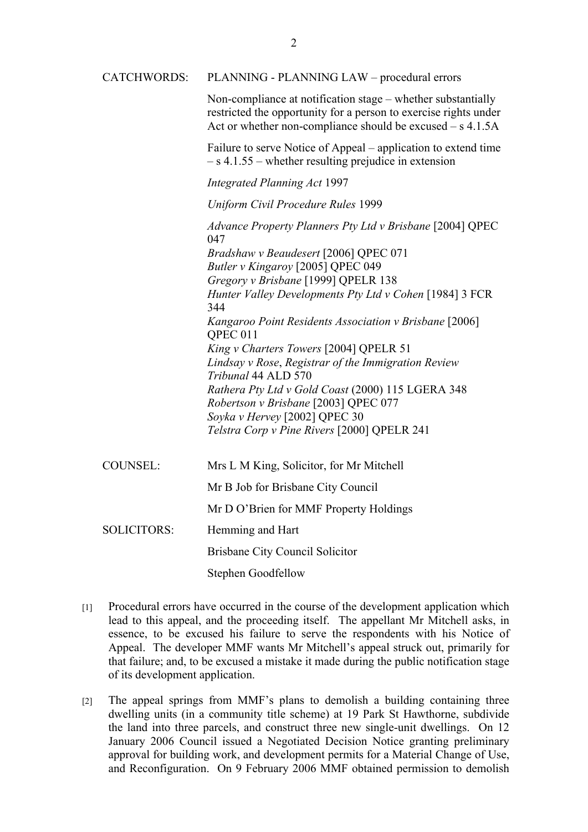CATCHWORDS: PLANNING - PLANNING LAW – procedural errors

Non-compliance at notification stage – whether substantially restricted the opportunity for a person to exercise rights under Act or whether non-compliance should be excused – s 4.1.5A

Failure to serve Notice of Appeal – application to extend time – s 4.1.55 – whether resulting prejudice in extension

#### *Integrated Planning Act* 1997

#### *Uniform Civil Procedure Rules* 1999

*Advance Property Planners Pty Ltd v Brisbane* [2004] QPEC 047 *Bradshaw v Beaudesert* [2006] QPEC 071 *Butler v Kingaroy* [2005] QPEC 049 *Gregory v Brisbane* [1999] QPELR 138 *Hunter Valley Developments Pty Ltd v Cohen* [1984] 3 FCR 344 *Kangaroo Point Residents Association v Brisbane* [2006] QPEC 011 *King v Charters Towers* [2004] QPELR 51 *Lindsay v Rose*, *Registrar of the Immigration Review Tribunal* 44 ALD 570 *Rathera Pty Ltd v Gold Coast* (2000) 115 LGERA 348 *Robertson v Brisbane* [2003] QPEC 077 *Soyka v Hervey* [2002] QPEC 30 *Telstra Corp v Pine Rivers* [2000] QPELR 241

| COUNSEL:           | Mrs L M King, Solicitor, for Mr Mitchell |
|--------------------|------------------------------------------|
|                    | Mr B Job for Brisbane City Council       |
|                    | Mr D O'Brien for MMF Property Holdings   |
| <b>SOLICITORS:</b> | Hemming and Hart                         |
|                    | Brisbane City Council Solicitor          |
|                    | <b>Stephen Goodfellow</b>                |

- [1] Procedural errors have occurred in the course of the development application which lead to this appeal, and the proceeding itself. The appellant Mr Mitchell asks, in essence, to be excused his failure to serve the respondents with his Notice of Appeal. The developer MMF wants Mr Mitchell's appeal struck out, primarily for that failure; and, to be excused a mistake it made during the public notification stage of its development application.
- [2] The appeal springs from MMF's plans to demolish a building containing three dwelling units (in a community title scheme) at 19 Park St Hawthorne, subdivide the land into three parcels, and construct three new single-unit dwellings. On 12 January 2006 Council issued a Negotiated Decision Notice granting preliminary approval for building work, and development permits for a Material Change of Use, and Reconfiguration. On 9 February 2006 MMF obtained permission to demolish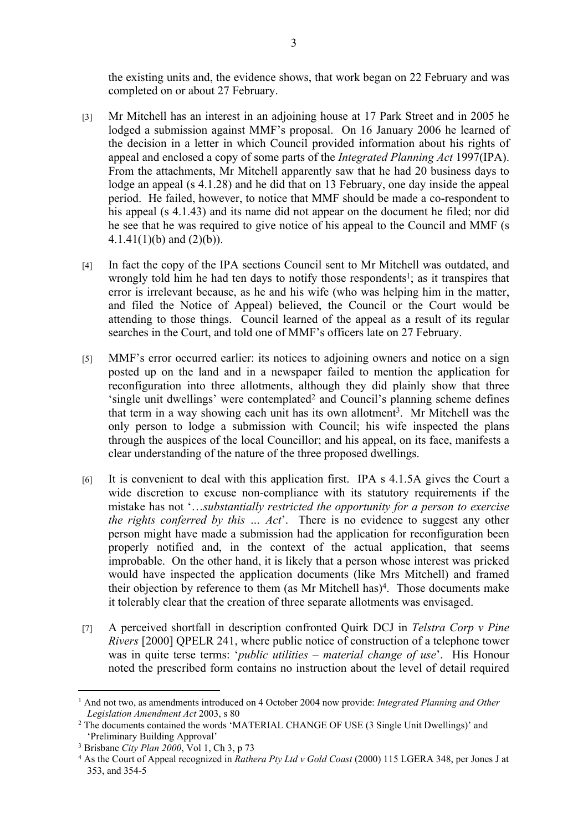the existing units and, the evidence shows, that work began on 22 February and was completed on or about 27 February.

- [3] Mr Mitchell has an interest in an adjoining house at 17 Park Street and in 2005 he lodged a submission against MMF's proposal. On 16 January 2006 he learned of the decision in a letter in which Council provided information about his rights of appeal and enclosed a copy of some parts of the *Integrated Planning Act* 1997(IPA). From the attachments, Mr Mitchell apparently saw that he had 20 business days to lodge an appeal (s 4.1.28) and he did that on 13 February, one day inside the appeal period. He failed, however, to notice that MMF should be made a co-respondent to his appeal (s 4.1.43) and its name did not appear on the document he filed; nor did he see that he was required to give notice of his appeal to the Council and MMF (s  $4.1.41(1)(b)$  and  $(2)(b)$ ).
- [4] In fact the copy of the IPA sections Council sent to Mr Mitchell was outdated, and wrongly told him he had ten days to notify those respondents<sup>1</sup>; as it transpires that error is irrelevant because, as he and his wife (who was helping him in the matter, and filed the Notice of Appeal) believed, the Council or the Court would be attending to those things. Council learned of the appeal as a result of its regular searches in the Court, and told one of MMF's officers late on 27 February.
- [5] MMF's error occurred earlier: its notices to adjoining owners and notice on a sign posted up on the land and in a newspaper failed to mention the application for reconfiguration into three allotments, although they did plainly show that three 'single unit dwellings' were contemplated<sup>2</sup> and Council's planning scheme defines that term in a way showing each unit has its own allotment<sup>3</sup>. Mr Mitchell was the only person to lodge a submission with Council; his wife inspected the plans through the auspices of the local Councillor; and his appeal, on its face, manifests a clear understanding of the nature of the three proposed dwellings.
- [6] It is convenient to deal with this application first. IPA s 4.1.5A gives the Court a wide discretion to excuse non-compliance with its statutory requirements if the mistake has not '…*substantially restricted the opportunity for a person to exercise the rights conferred by this … Act*'. There is no evidence to suggest any other person might have made a submission had the application for reconfiguration been properly notified and, in the context of the actual application, that seems improbable. On the other hand, it is likely that a person whose interest was pricked would have inspected the application documents (like Mrs Mitchell) and framed their objection by reference to them (as Mr Mitchell has)<sup>4</sup>. Those documents make it tolerably clear that the creation of three separate allotments was envisaged.
- [7] A perceived shortfall in description confronted Quirk DCJ in *Telstra Corp v Pine Rivers* [2000] QPELR 241, where public notice of construction of a telephone tower was in quite terse terms: '*public utilities – material change of use*'. His Honour noted the prescribed form contains no instruction about the level of detail required

<sup>1</sup> And not two, as amendments introduced on 4 October 2004 now provide: *Integrated Planning and Other Legislation Amendment Act* 2003, s 80

<sup>2</sup> The documents contained the words 'MATERIAL CHANGE OF USE (3 Single Unit Dwellings)' and 'Preliminary Building Approval'

<sup>3</sup> Brisbane *City Plan 2000*, Vol 1, Ch 3, p 73

<sup>4</sup> As the Court of Appeal recognized in *Rathera Pty Ltd v Gold Coast* (2000) 115 LGERA 348, per Jones J at 353, and 354-5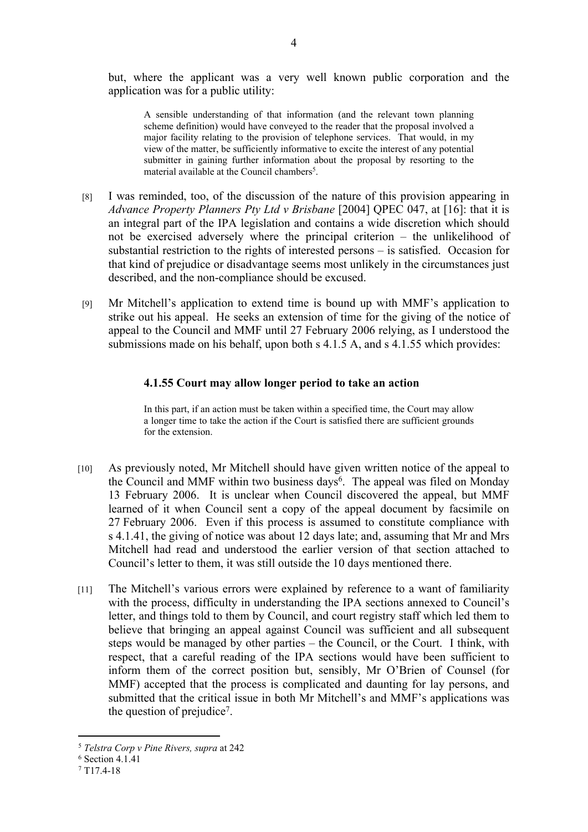but, where the applicant was a very well known public corporation and the application was for a public utility:

A sensible understanding of that information (and the relevant town planning scheme definition) would have conveyed to the reader that the proposal involved a major facility relating to the provision of telephone services. That would, in my view of the matter, be sufficiently informative to excite the interest of any potential submitter in gaining further information about the proposal by resorting to the material available at the Council chambers<sup>5</sup>.

- [8] I was reminded, too, of the discussion of the nature of this provision appearing in *Advance Property Planners Pty Ltd v Brisbane* [2004] QPEC 047, at [16]: that it is an integral part of the IPA legislation and contains a wide discretion which should not be exercised adversely where the principal criterion – the unlikelihood of substantial restriction to the rights of interested persons – is satisfied. Occasion for that kind of prejudice or disadvantage seems most unlikely in the circumstances just described, and the non-compliance should be excused.
- [9] Mr Mitchell's application to extend time is bound up with MMF's application to strike out his appeal. He seeks an extension of time for the giving of the notice of appeal to the Council and MMF until 27 February 2006 relying, as I understood the submissions made on his behalf, upon both s 4.1.5 A, and s 4.1.55 which provides:

### **4.1.55 Court may allow longer period to take an action**

In this part, if an action must be taken within a specified time, the Court may allow a longer time to take the action if the Court is satisfied there are sufficient grounds for the extension.

- [10] As previously noted, Mr Mitchell should have given written notice of the appeal to the Council and MMF within two business days<sup>6</sup>. The appeal was filed on Monday 13 February 2006. It is unclear when Council discovered the appeal, but MMF learned of it when Council sent a copy of the appeal document by facsimile on 27 February 2006. Even if this process is assumed to constitute compliance with s 4.1.41, the giving of notice was about 12 days late; and, assuming that Mr and Mrs Mitchell had read and understood the earlier version of that section attached to Council's letter to them, it was still outside the 10 days mentioned there.
- [11] The Mitchell's various errors were explained by reference to a want of familiarity with the process, difficulty in understanding the IPA sections annexed to Council's letter, and things told to them by Council, and court registry staff which led them to believe that bringing an appeal against Council was sufficient and all subsequent steps would be managed by other parties – the Council, or the Court. I think, with respect, that a careful reading of the IPA sections would have been sufficient to inform them of the correct position but, sensibly, Mr O'Brien of Counsel (for MMF) accepted that the process is complicated and daunting for lay persons, and submitted that the critical issue in both Mr Mitchell's and MMF's applications was the question of prejudice<sup>7</sup>.

<sup>5</sup> *Telstra Corp v Pine Rivers, supra* at 242

<sup>6</sup> Section 4.1.41

<sup>7</sup> T17.4-18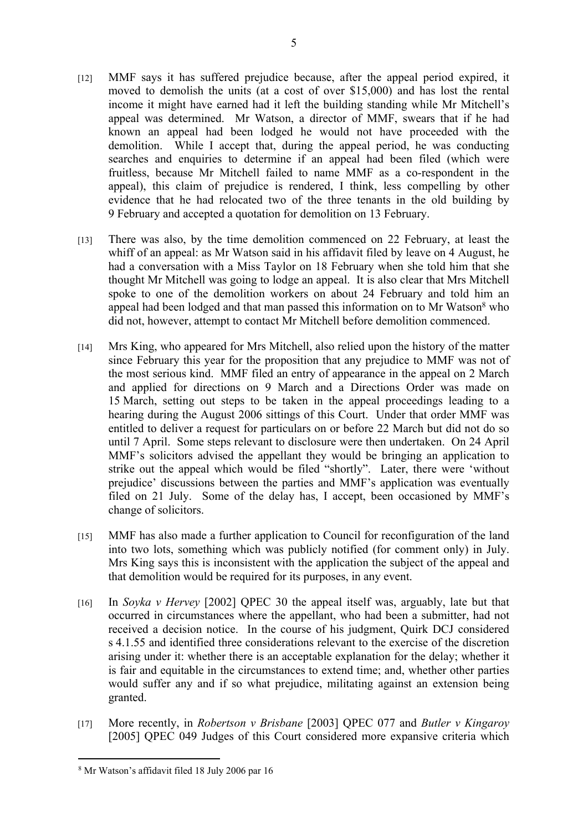- [12] MMF says it has suffered prejudice because, after the appeal period expired, it moved to demolish the units (at a cost of over \$15,000) and has lost the rental income it might have earned had it left the building standing while Mr Mitchell's appeal was determined. Mr Watson, a director of MMF, swears that if he had known an appeal had been lodged he would not have proceeded with the demolition. While I accept that, during the appeal period, he was conducting searches and enquiries to determine if an appeal had been filed (which were fruitless, because Mr Mitchell failed to name MMF as a co-respondent in the appeal), this claim of prejudice is rendered, I think, less compelling by other evidence that he had relocated two of the three tenants in the old building by 9 February and accepted a quotation for demolition on 13 February.
- [13] There was also, by the time demolition commenced on 22 February, at least the whiff of an appeal: as Mr Watson said in his affidavit filed by leave on 4 August, he had a conversation with a Miss Taylor on 18 February when she told him that she thought Mr Mitchell was going to lodge an appeal. It is also clear that Mrs Mitchell spoke to one of the demolition workers on about 24 February and told him an appeal had been lodged and that man passed this information on to Mr Watson<sup>8</sup> who did not, however, attempt to contact Mr Mitchell before demolition commenced.
- [14] Mrs King, who appeared for Mrs Mitchell, also relied upon the history of the matter since February this year for the proposition that any prejudice to MMF was not of the most serious kind. MMF filed an entry of appearance in the appeal on 2 March and applied for directions on 9 March and a Directions Order was made on 15 March, setting out steps to be taken in the appeal proceedings leading to a hearing during the August 2006 sittings of this Court. Under that order MMF was entitled to deliver a request for particulars on or before 22 March but did not do so until 7 April. Some steps relevant to disclosure were then undertaken. On 24 April MMF's solicitors advised the appellant they would be bringing an application to strike out the appeal which would be filed "shortly". Later, there were 'without prejudice' discussions between the parties and MMF's application was eventually filed on 21 July. Some of the delay has, I accept, been occasioned by MMF's change of solicitors.
- [15] MMF has also made a further application to Council for reconfiguration of the land into two lots, something which was publicly notified (for comment only) in July. Mrs King says this is inconsistent with the application the subject of the appeal and that demolition would be required for its purposes, in any event.
- [16] In *Soyka v Hervey* [2002] QPEC 30 the appeal itself was, arguably, late but that occurred in circumstances where the appellant, who had been a submitter, had not received a decision notice. In the course of his judgment, Quirk DCJ considered s 4.1.55 and identified three considerations relevant to the exercise of the discretion arising under it: whether there is an acceptable explanation for the delay; whether it is fair and equitable in the circumstances to extend time; and, whether other parties would suffer any and if so what prejudice, militating against an extension being granted.
- [17] More recently, in *Robertson v Brisbane* [2003] QPEC 077 and *Butler v Kingaroy* [2005] QPEC 049 Judges of this Court considered more expansive criteria which

<sup>8</sup> Mr Watson's affidavit filed 18 July 2006 par 16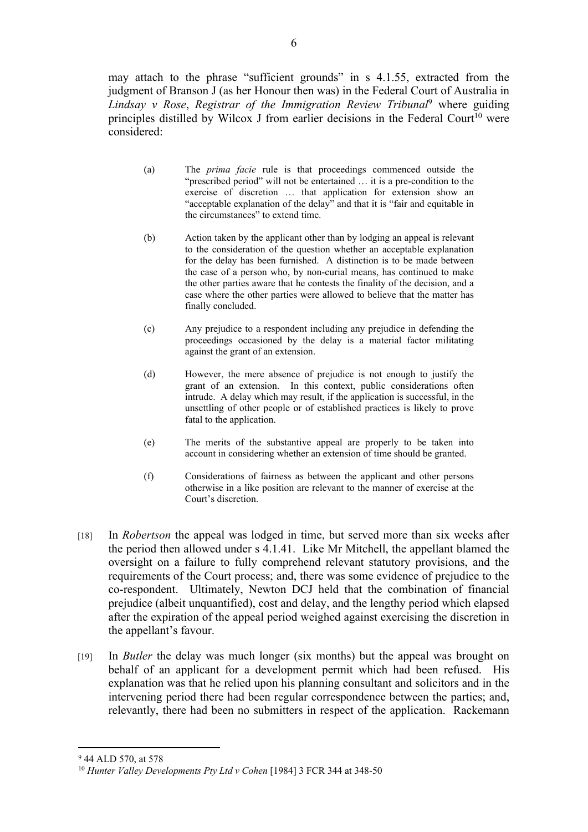may attach to the phrase "sufficient grounds" in s 4.1.55, extracted from the judgment of Branson J (as her Honour then was) in the Federal Court of Australia in *Lindsay v Rose*, *Registrar of the Immigration Review Tribunal*<sup>9</sup> where guiding principles distilled by Wilcox J from earlier decisions in the Federal Court<sup>10</sup> were considered:

- (a) The *prima facie* rule is that proceedings commenced outside the "prescribed period" will not be entertained … it is a pre-condition to the exercise of discretion … that application for extension show an "acceptable explanation of the delay" and that it is "fair and equitable in the circumstances" to extend time.
- (b) Action taken by the applicant other than by lodging an appeal is relevant to the consideration of the question whether an acceptable explanation for the delay has been furnished. A distinction is to be made between the case of a person who, by non-curial means, has continued to make the other parties aware that he contests the finality of the decision, and a case where the other parties were allowed to believe that the matter has finally concluded.
- (c) Any prejudice to a respondent including any prejudice in defending the proceedings occasioned by the delay is a material factor militating against the grant of an extension.
- (d) However, the mere absence of prejudice is not enough to justify the grant of an extension. In this context, public considerations often intrude. A delay which may result, if the application is successful, in the unsettling of other people or of established practices is likely to prove fatal to the application.
- (e) The merits of the substantive appeal are properly to be taken into account in considering whether an extension of time should be granted.
- (f) Considerations of fairness as between the applicant and other persons otherwise in a like position are relevant to the manner of exercise at the Court's discretion.
- [18] In *Robertson* the appeal was lodged in time, but served more than six weeks after the period then allowed under s 4.1.41. Like Mr Mitchell, the appellant blamed the oversight on a failure to fully comprehend relevant statutory provisions, and the requirements of the Court process; and, there was some evidence of prejudice to the co-respondent. Ultimately, Newton DCJ held that the combination of financial prejudice (albeit unquantified), cost and delay, and the lengthy period which elapsed after the expiration of the appeal period weighed against exercising the discretion in the appellant's favour.
- [19] In *Butler* the delay was much longer (six months) but the appeal was brought on behalf of an applicant for a development permit which had been refused. His explanation was that he relied upon his planning consultant and solicitors and in the intervening period there had been regular correspondence between the parties; and, relevantly, there had been no submitters in respect of the application. Rackemann

<sup>9</sup> 44 ALD 570, at 578

<sup>10</sup> *Hunter Valley Developments Pty Ltd v Cohen* [1984] 3 FCR 344 at 348-50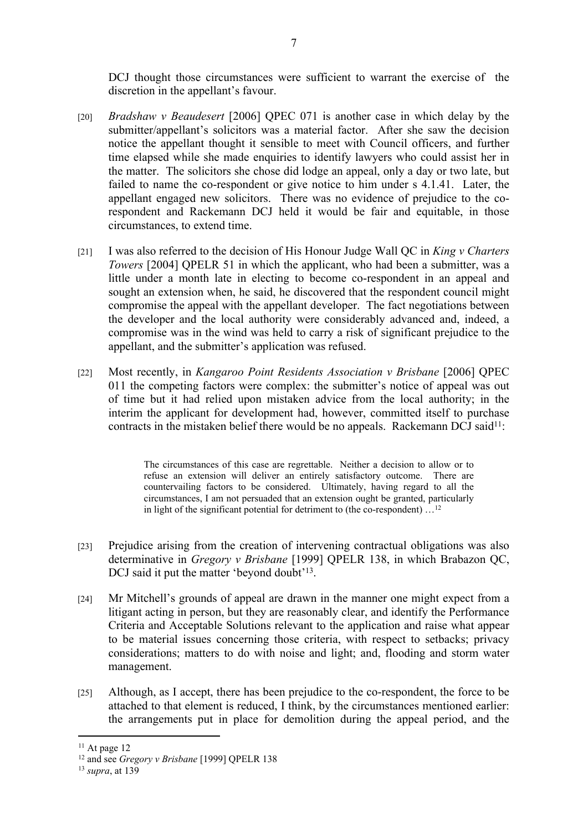DCJ thought those circumstances were sufficient to warrant the exercise of the discretion in the appellant's favour.

- [20] *Bradshaw v Beaudesert* [2006] QPEC 071 is another case in which delay by the submitter/appellant's solicitors was a material factor. After she saw the decision notice the appellant thought it sensible to meet with Council officers, and further time elapsed while she made enquiries to identify lawyers who could assist her in the matter. The solicitors she chose did lodge an appeal, only a day or two late, but failed to name the co-respondent or give notice to him under s 4.1.41. Later, the appellant engaged new solicitors. There was no evidence of prejudice to the corespondent and Rackemann DCJ held it would be fair and equitable, in those circumstances, to extend time.
- [21] I was also referred to the decision of His Honour Judge Wall QC in *King v Charters Towers* [2004] QPELR 51 in which the applicant, who had been a submitter, was a little under a month late in electing to become co-respondent in an appeal and sought an extension when, he said, he discovered that the respondent council might compromise the appeal with the appellant developer. The fact negotiations between the developer and the local authority were considerably advanced and, indeed, a compromise was in the wind was held to carry a risk of significant prejudice to the appellant, and the submitter's application was refused.
- [22] Most recently, in *Kangaroo Point Residents Association v Brisbane* [2006] QPEC 011 the competing factors were complex: the submitter's notice of appeal was out of time but it had relied upon mistaken advice from the local authority; in the interim the applicant for development had, however, committed itself to purchase contracts in the mistaken belief there would be no appeals. Rackemann DCJ said<sup>11</sup>:

The circumstances of this case are regrettable. Neither a decision to allow or to refuse an extension will deliver an entirely satisfactory outcome. There are countervailing factors to be considered. Ultimately, having regard to all the circumstances, I am not persuaded that an extension ought be granted, particularly in light of the significant potential for detriment to (the co-respondent)  $\dots$ <sup>12</sup>

- [23] Prejudice arising from the creation of intervening contractual obligations was also determinative in *Gregory v Brisbane* [1999] QPELR 138, in which Brabazon QC, DCJ said it put the matter 'beyond doubt'<sup>13</sup>.
- [24] Mr Mitchell's grounds of appeal are drawn in the manner one might expect from a litigant acting in person, but they are reasonably clear, and identify the Performance Criteria and Acceptable Solutions relevant to the application and raise what appear to be material issues concerning those criteria, with respect to setbacks; privacy considerations; matters to do with noise and light; and, flooding and storm water management.
- [25] Although, as I accept, there has been prejudice to the co-respondent, the force to be attached to that element is reduced, I think, by the circumstances mentioned earlier: the arrangements put in place for demolition during the appeal period, and the

 $11$  At page 12

<sup>12</sup> and see *Gregory v Brisbane* [1999] QPELR 138

<sup>13</sup> *supra*, at 139